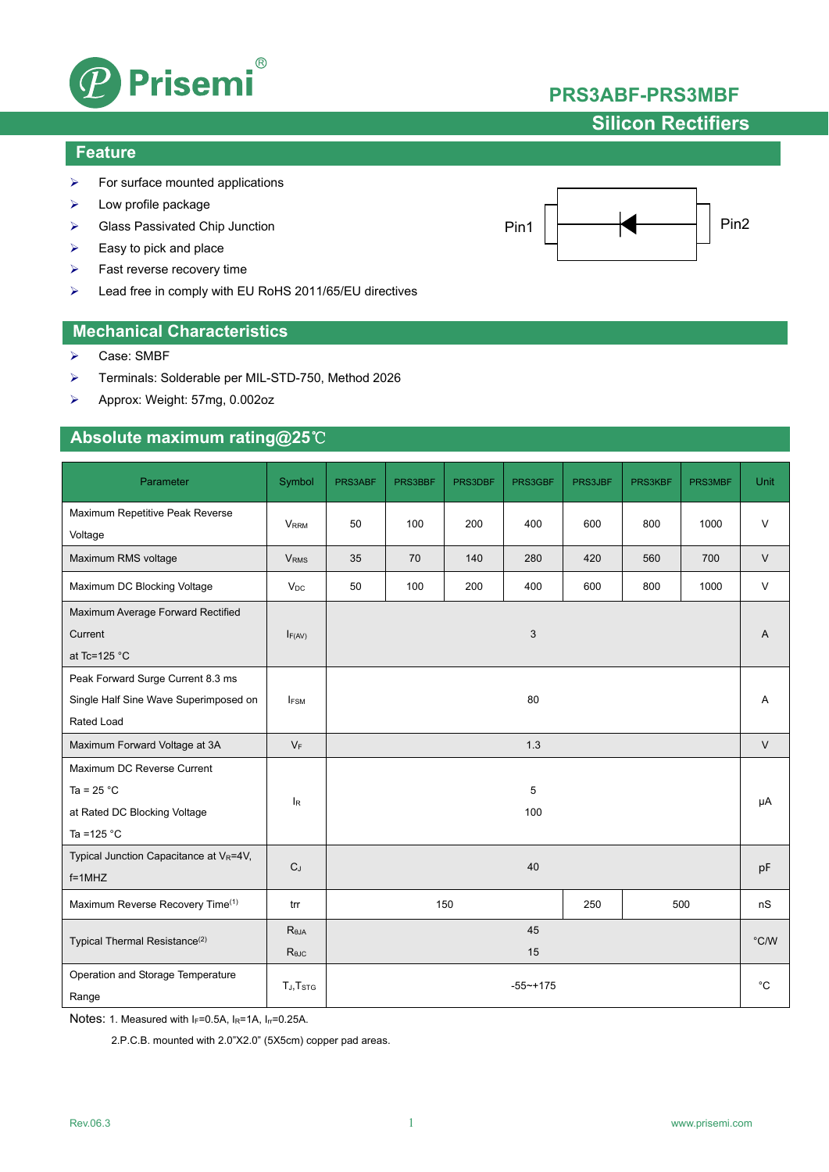

## **Silicon Rectifiers**

### **Feature**

- $\triangleright$  For surface mounted applications
- $\triangleright$  Low profile package
- ▶ Glass Passivated Chip Junction
- $\triangleright$  Easy to pick and place
- $\triangleright$  Fast reverse recovery time
- Lead free in comply with EU RoHS 2011/65/EU directives

### **Mechanical Characteristics**

- ▶ Case: SMBF
- Terminals: Solderable per MIL-STD-750, Method 2026
- Approx: Weight: 57mg, 0.002oz

### **Absolute maximum rating@25**℃

| Parameter                                                                                   | Symbol                            | PRS3ABF           | PRS3BBF | PRS3DBF | PRS3GBF  | PRS3JBF      | PRS3KBF       | PRS3MBF | Unit   |
|---------------------------------------------------------------------------------------------|-----------------------------------|-------------------|---------|---------|----------|--------------|---------------|---------|--------|
| Maximum Repetitive Peak Reverse<br>Voltage                                                  | <b>VRRM</b>                       | 50                | 100     | 200     | 400      | 600          | 800           | 1000    | $\vee$ |
| Maximum RMS voltage                                                                         | <b>V<sub>RMS</sub></b>            | 35                | 70      | 140     | 280      | 420          | 560           | 700     | $\vee$ |
| Maximum DC Blocking Voltage                                                                 | $V_{DC}$                          | 50                | 100     | 200     | 400      | 600          | 800           | 1000    | $\vee$ |
| Maximum Average Forward Rectified<br>Current<br>at Tc=125 $°C$                              | $I_{F(AV)}$                       |                   |         |         | 3        |              |               |         | A      |
| Peak Forward Surge Current 8.3 ms<br>Single Half Sine Wave Superimposed on<br>Rated Load    | <b>IFSM</b>                       |                   |         |         | 80       |              |               |         | Α      |
| Maximum Forward Voltage at 3A                                                               | $V_F$                             | 1.3               |         |         |          |              | $\vee$        |         |        |
| Maximum DC Reverse Current<br>Ta = $25 °C$<br>at Rated DC Blocking Voltage<br>Ta = $125 °C$ | l <sub>R</sub>                    |                   |         |         | 5<br>100 |              |               |         | μA     |
| Typical Junction Capacitance at VR=4V,<br>$f=1MHz$                                          | $C_J$                             |                   |         |         | 40       |              |               |         | pF     |
| Maximum Reverse Recovery Time(1)                                                            | trr                               | 150<br>250<br>500 |         |         |          |              | nS            |         |        |
| Typical Thermal Resistance <sup>(2)</sup>                                                   | $R_{\theta JA}$<br>$R_{\theta$ JC | 45<br>15          |         |         |          |              | $\degree$ C/W |         |        |
| Operation and Storage Temperature<br>Range                                                  | TJ, T <sub>STG</sub>              | $-55 - +175$      |         |         |          | $^{\circ}$ C |               |         |        |

Notes: 1. Measured with  $I_F=0.5A$ ,  $I_R=1A$ ,  $I_{rr}=0.25A$ .

2.P.C.B. mounted with 2.0"X2.0" (5X5cm) copper pad areas.

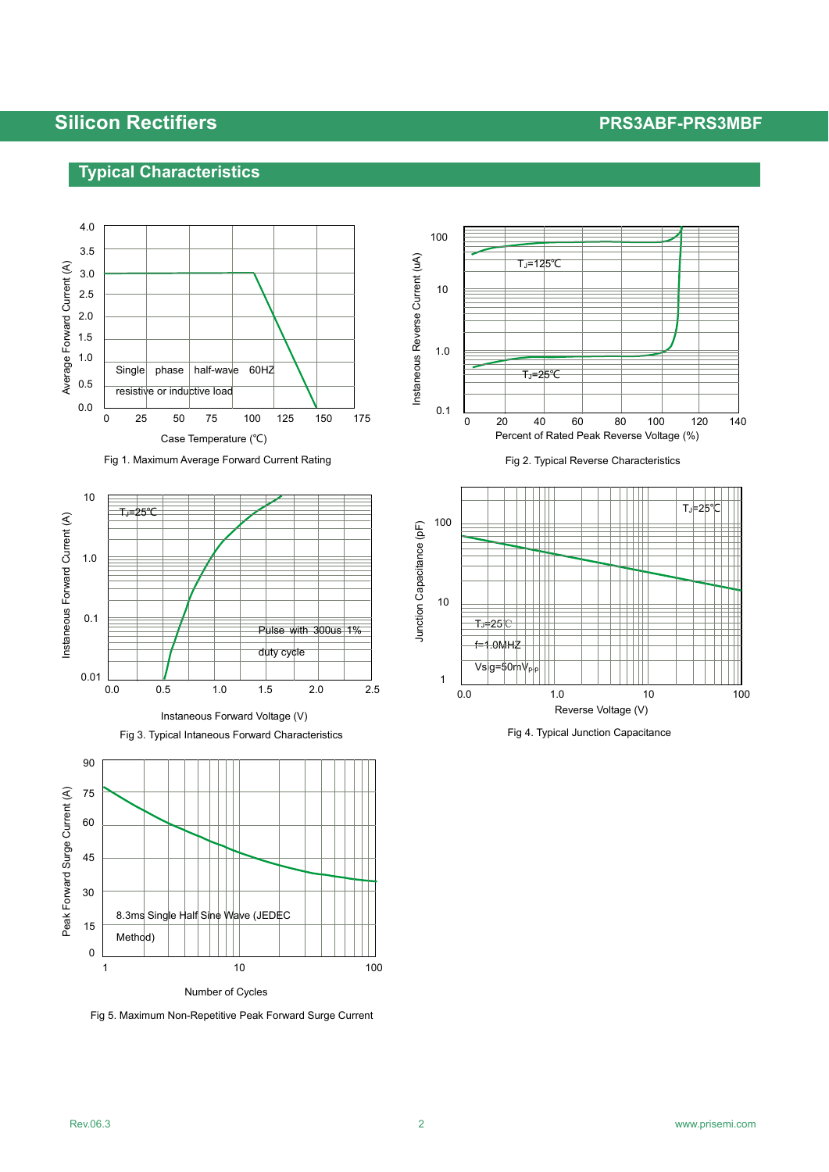## **Silicon Rectifiers PRS3ABF-PRS3MBF**

## **Typical Characteristics**











Fig 5. Maximum Non-Repetitive Peak Forward Surge Current



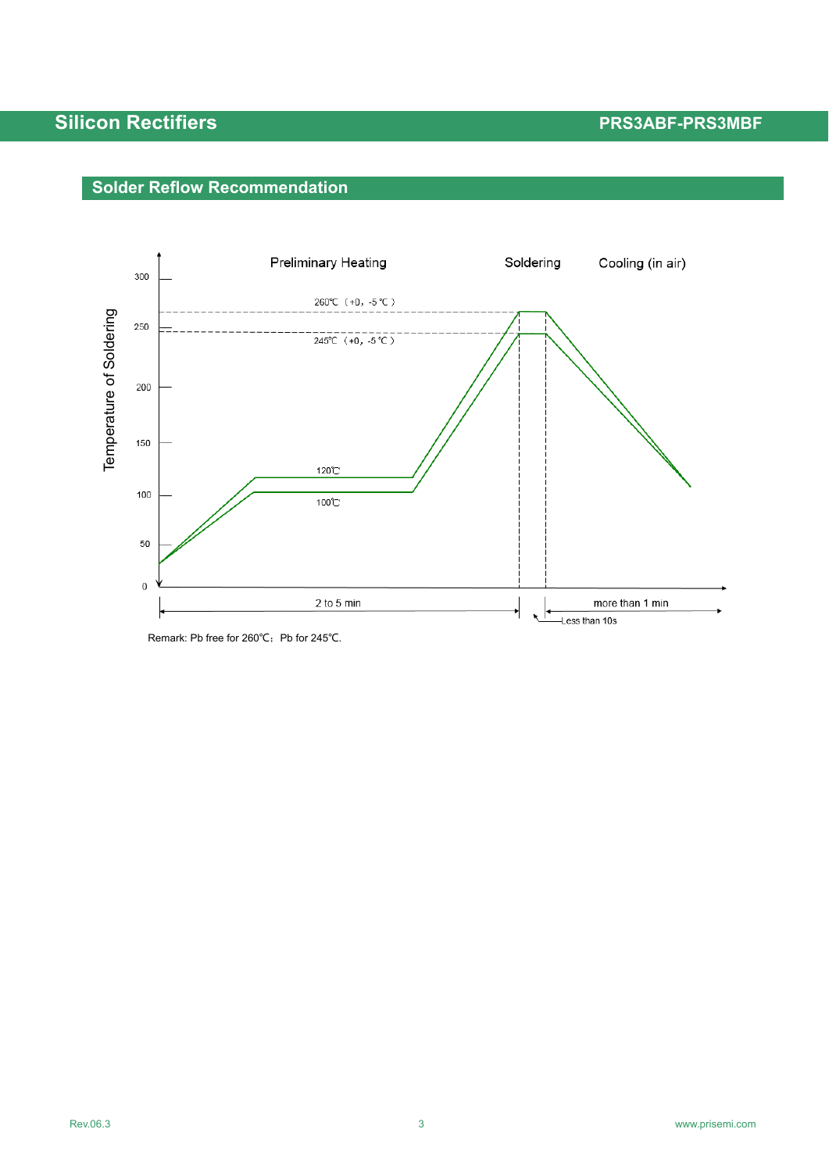# **Silicon Rectifiers Access Access Access Access Access Access Access Access Access Access Access Access Access**

# **Solder Reflow Recommendation**



Remark: Pb free for 260℃; Pb for 245℃.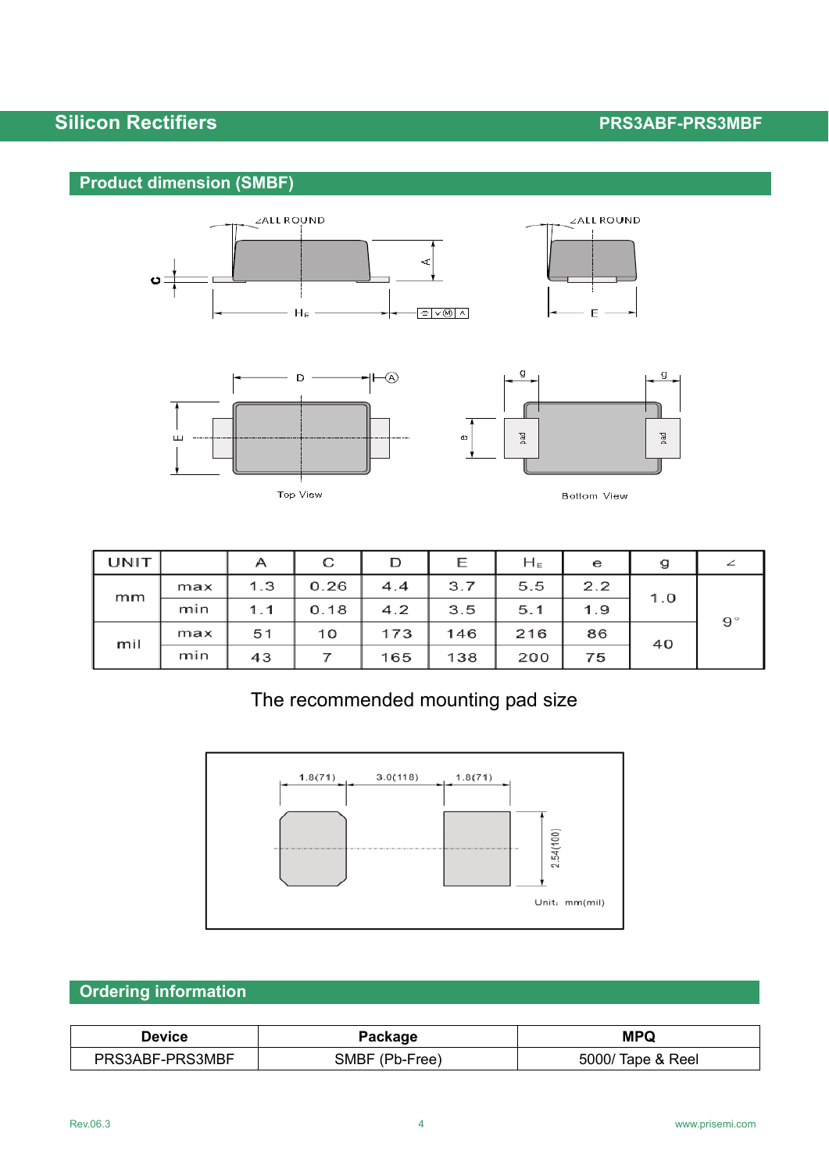# **Silicon Rectifiers Access Access Access Access Access Access Access Access Access Access Access Access Access**

## **Product dimension (SMBF)**





Top View



Bottom View

| UNIT |     | А   | С    | D   | Ε   | $H_E$ | е   | g   |             |
|------|-----|-----|------|-----|-----|-------|-----|-----|-------------|
| mm   | max | 1.3 | 0.26 | 4.4 | 3.7 | 5.5   | 2.2 |     |             |
|      | min | 1.1 | 0.18 | 4.2 | 3.5 | 5.1   | 1.9 | 1.0 | $9^{\circ}$ |
| mil  | max | 51  | 10   | 173 | 146 | 216   | 86  | 40  |             |
|      | min | 43  |      | 165 | 138 | 200   | 75  |     |             |

# The recommended mounting pad size



## **Ordering information**

| Device          | Package            | <b>MPQ</b>               |  |  |  |
|-----------------|--------------------|--------------------------|--|--|--|
| PRS3ABF-PRS3MBF | (Pb-Free)<br>3MRF. | 5000/ Tap<br>Tape & Reel |  |  |  |